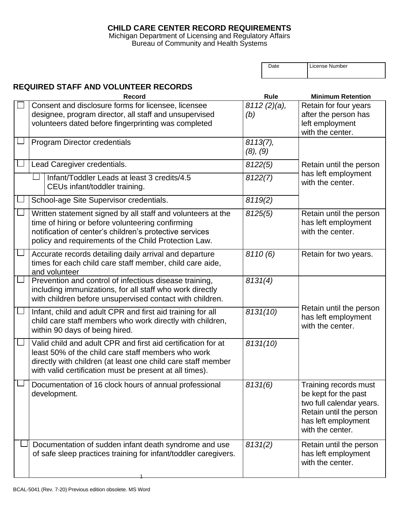Michigan Department of Licensing and Regulatory Affairs Bureau of Community and Health Systems

Date License Number

## **REQUIRED STAFF AND VOLUNTEER RECORDS**

|        | <b>Record</b>                                                                                                                                                                                                                                 | Rule                    | <b>Minimum Retention</b>                                                                                                                        |
|--------|-----------------------------------------------------------------------------------------------------------------------------------------------------------------------------------------------------------------------------------------------|-------------------------|-------------------------------------------------------------------------------------------------------------------------------------------------|
|        | Consent and disclosure forms for licensee, licensee<br>designee, program director, all staff and unsupervised<br>volunteers dated before fingerprinting was completed                                                                         | 8112 (2)(a),<br>(b)     | Retain for four years<br>after the person has<br>left employment<br>with the center.                                                            |
|        | Program Director credentials                                                                                                                                                                                                                  | $8113(7)$ ,<br>(8), (9) |                                                                                                                                                 |
| ш      | Lead Caregiver credentials.                                                                                                                                                                                                                   | 8122(5)                 | Retain until the person                                                                                                                         |
|        | Infant/Toddler Leads at least 3 credits/4.5<br>CEUs infant/toddler training.                                                                                                                                                                  | 8122(7)                 | has left employment<br>with the center.                                                                                                         |
|        | School-age Site Supervisor credentials.                                                                                                                                                                                                       | 8119(2)                 |                                                                                                                                                 |
| ப      | Written statement signed by all staff and volunteers at the<br>time of hiring or before volunteering confirming<br>notification of center's children's protective services<br>policy and requirements of the Child Protection Law.            | 8125(5)                 | Retain until the person<br>has left employment<br>with the center.                                                                              |
| ш      | Accurate records detailing daily arrival and departure<br>times for each child care staff member, child care aide,<br>and volunteer                                                                                                           | 8110 (6)                | Retain for two years.                                                                                                                           |
| $\Box$ | Prevention and control of infectious disease training,<br>including immunizations, for all staff who work directly<br>with children before unsupervised contact with children.                                                                | 8131(4)                 |                                                                                                                                                 |
| $\Box$ | Infant, child and adult CPR and first aid training for all<br>child care staff members who work directly with children,<br>within 90 days of being hired.                                                                                     | 8131(10)                | Retain until the person<br>has left employment<br>with the center.                                                                              |
| $\Box$ | Valid child and adult CPR and first aid certification for at<br>least 50% of the child care staff members who work<br>directly with children (at least one child care staff member<br>with valid certification must be present at all times). | 8131(10)                |                                                                                                                                                 |
| ᆸ      | Documentation of 16 clock hours of annual professional<br>development.                                                                                                                                                                        | 8131(6)                 | Training records must<br>be kept for the past<br>two full calendar years.<br>Retain until the person<br>has left employment<br>with the center. |
|        | Documentation of sudden infant death syndrome and use<br>of safe sleep practices training for infant/toddler caregivers.                                                                                                                      | 8131(2)                 | Retain until the person<br>has left employment<br>with the center.                                                                              |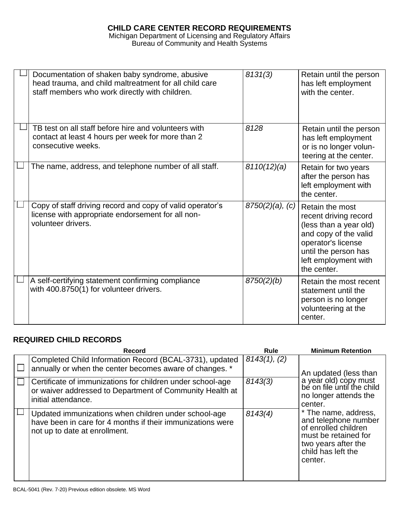Michigan Department of Licensing and Regulatory Affairs Bureau of Community and Health Systems

| Documentation of shaken baby syndrome, abusive<br>head trauma, and child maltreatment for all child care<br>staff members who work directly with children. | 8131(3)            | Retain until the person<br>has left employment<br>with the center.                                                                                                               |
|------------------------------------------------------------------------------------------------------------------------------------------------------------|--------------------|----------------------------------------------------------------------------------------------------------------------------------------------------------------------------------|
| TB test on all staff before hire and volunteers with<br>contact at least 4 hours per week for more than 2<br>consecutive weeks.                            | 8128               | Retain until the person<br>has left employment<br>or is no longer volun-<br>teering at the center.                                                                               |
| The name, address, and telephone number of all staff.                                                                                                      | 8110(12)(a)        | Retain for two years<br>after the person has<br>left employment with<br>the center.                                                                                              |
| Copy of staff driving record and copy of valid operator's<br>license with appropriate endorsement for all non-<br>volunteer drivers.                       | $8750(2)(a)$ , (c) | Retain the most<br>recent driving record<br>(less than a year old)<br>and copy of the valid<br>operator's license<br>until the person has<br>left employment with<br>the center. |
| A self-certifying statement confirming compliance<br>with 400.8750(1) for volunteer drivers.                                                               | 8750(2)(b)         | Retain the most recent<br>statement until the<br>person is no longer<br>volunteering at the<br>center.                                                                           |

## **REQUIRED CHILD RECORDS**

| Record                                                                                                                                              | Rule         | <b>Minimum Retention</b>                                                                                                                             |
|-----------------------------------------------------------------------------------------------------------------------------------------------------|--------------|------------------------------------------------------------------------------------------------------------------------------------------------------|
| Completed Child Information Record (BCAL-3731), updated<br>annually or when the center becomes aware of changes. *                                  | 8143(1), (2) | An updated (less than                                                                                                                                |
| Certificate of immunizations for children under school-age<br>or waiver addressed to Department of Community Health at<br>initial attendance.       | 8143(3)      | a year old) copy must<br>be on file until the child<br>no longer attends the<br>center.                                                              |
| Updated immunizations when children under school-age<br>have been in care for 4 months if their immunizations were<br>not up to date at enrollment. | 8143(4)      | * The name, address,<br>and telephone number<br>of enrolled children<br>must be retained for<br>two years after the<br>child has left the<br>center. |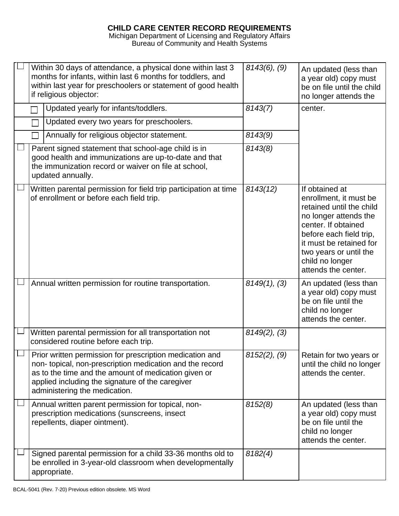Michigan Department of Licensing and Regulatory Affairs Bureau of Community and Health Systems

| Within 30 days of attendance, a physical done within last 3<br>months for infants, within last 6 months for toddlers, and<br>within last year for preschoolers or statement of good health<br>if religious objector:                                                       | $8143(6)$ , (9)            | An updated (less than<br>a year old) copy must<br>be on file until the child<br>no longer attends the                                                                                                                                          |
|----------------------------------------------------------------------------------------------------------------------------------------------------------------------------------------------------------------------------------------------------------------------------|----------------------------|------------------------------------------------------------------------------------------------------------------------------------------------------------------------------------------------------------------------------------------------|
| Updated yearly for infants/toddlers.                                                                                                                                                                                                                                       | 8143(7)                    | center.                                                                                                                                                                                                                                        |
| Updated every two years for preschoolers.<br>П                                                                                                                                                                                                                             |                            |                                                                                                                                                                                                                                                |
| Annually for religious objector statement.                                                                                                                                                                                                                                 | 8143(9)                    |                                                                                                                                                                                                                                                |
| Parent signed statement that school-age child is in<br>good health and immunizations are up-to-date and that<br>the immunization record or waiver on file at school,<br>updated annually.                                                                                  | 8143(8)                    |                                                                                                                                                                                                                                                |
| Written parental permission for field trip participation at time<br>of enrollment or before each field trip.                                                                                                                                                               | 8143(12)                   | If obtained at<br>enrollment, it must be<br>retained until the child<br>no longer attends the<br>center. If obtained<br>before each field trip,<br>it must be retained for<br>two years or until the<br>child no longer<br>attends the center. |
| Annual written permission for routine transportation.                                                                                                                                                                                                                      | 8149(1), (3)               | An updated (less than<br>a year old) copy must<br>be on file until the<br>child no longer<br>attends the center.                                                                                                                               |
| Written parental permission for all transportation not<br>considered routine before each trip.                                                                                                                                                                             | $8149(2)$ , (3)            |                                                                                                                                                                                                                                                |
| <b>TH</b> Prior written permission for prescription medication and<br>non-topical, non-prescription medication and the record<br>as to the time and the amount of medication given or<br>applied including the signature of the caregiver<br>administering the medication. | $\overline{8152(2)}$ , (9) | Retain for two years or<br>until the child no longer<br>attends the center.                                                                                                                                                                    |
| Annual written parent permission for topical, non-<br>prescription medications (sunscreens, insect<br>repellents, diaper ointment).                                                                                                                                        | 8152(8)                    | An updated (less than<br>a year old) copy must<br>be on file until the<br>child no longer<br>attends the center.                                                                                                                               |
| Signed parental permission for a child 33-36 months old to<br>be enrolled in 3-year-old classroom when developmentally<br>appropriate.                                                                                                                                     | 8182(4)                    |                                                                                                                                                                                                                                                |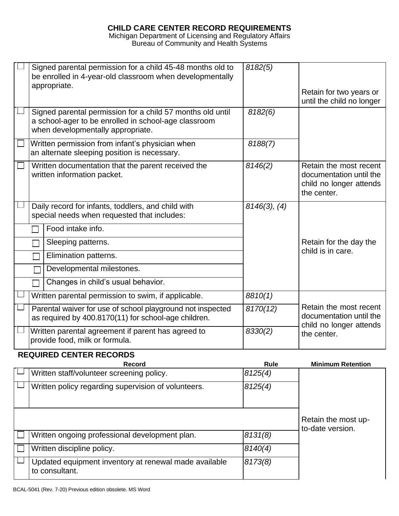Michigan Department of Licensing and Regulatory Affairs Bureau of Community and Health Systems

|  | Signed parental permission for a child 45-48 months old to<br>be enrolled in 4-year-old classroom when developmentally                                  | 8182(5)      |                                                                                             |
|--|---------------------------------------------------------------------------------------------------------------------------------------------------------|--------------|---------------------------------------------------------------------------------------------|
|  | appropriate.                                                                                                                                            |              | Retain for two years or<br>until the child no longer                                        |
|  | Signed parental permission for a child 57 months old until<br>a school-ager to be enrolled in school-age classroom<br>when developmentally appropriate. | 8182(6)      |                                                                                             |
|  | Written permission from infant's physician when<br>an alternate sleeping position is necessary.                                                         | 8188(7)      |                                                                                             |
|  | Written documentation that the parent received the<br>written information packet.                                                                       | 8146(2)      | Retain the most recent<br>documentation until the<br>child no longer attends<br>the center. |
|  | Daily record for infants, toddlers, and child with<br>special needs when requested that includes:                                                       | 8146(3), (4) |                                                                                             |
|  | Food intake info.                                                                                                                                       |              |                                                                                             |
|  | Sleeping patterns.                                                                                                                                      |              | Retain for the day the                                                                      |
|  | Elimination patterns.                                                                                                                                   |              | child is in care.                                                                           |
|  | Developmental milestones.                                                                                                                               |              |                                                                                             |
|  | Changes in child's usual behavior.                                                                                                                      |              |                                                                                             |
|  | Written parental permission to swim, if applicable.                                                                                                     | 8810(1)      |                                                                                             |
|  | Parental waiver for use of school playground not inspected<br>as required by 400.8170(11) for school-age children.                                      | 8170(12)     | Retain the most recent<br>documentation until the<br>child no longer attends                |
|  | Written parental agreement if parent has agreed to<br>provide food, milk or formula.                                                                    | 8330(2)      | the center.                                                                                 |
|  | <b>REQUIRED CENTER RECORDS</b>                                                                                                                          |              |                                                                                             |
|  | <b>Record</b>                                                                                                                                           | <b>Rule</b>  | <b>Minimum Retention</b>                                                                    |
|  | Written staff/volunteer screening policy.                                                                                                               | 8125(4)      |                                                                                             |
|  | Written policy regarding supervision of volunteers.                                                                                                     | 8125(4)      |                                                                                             |
|  |                                                                                                                                                         |              | Retain the most up-                                                                         |
|  | Written ongoing professional development plan.                                                                                                          | 8131(8)      | to-date version.                                                                            |

*8173(8)*

to consultant.

 $\Box$  $\Box$  Written discipline policy. **8140(4)** 

Updated equipment inventory at renewal made available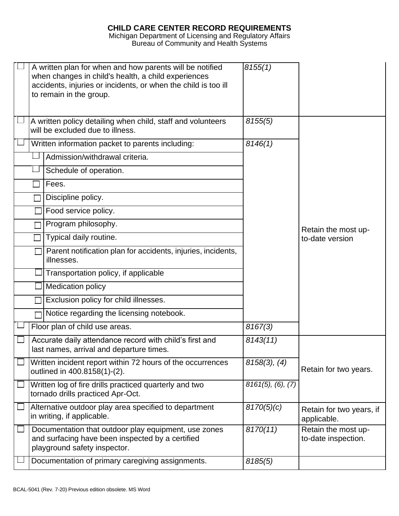Michigan Department of Licensing and Regulatory Affairs Bureau of Community and Health Systems

|   | A written plan for when and how parents will be notified<br>when changes in child's health, a child experiences<br>accidents, injuries or incidents, or when the child is too ill<br>to remain in the group. | 8155(1)              |                                            |
|---|--------------------------------------------------------------------------------------------------------------------------------------------------------------------------------------------------------------|----------------------|--------------------------------------------|
|   | A written policy detailing when child, staff and volunteers<br>will be excluded due to illness.                                                                                                              | 8155(5)              |                                            |
|   | Written information packet to parents including:                                                                                                                                                             | 8146(1)              |                                            |
|   | Admission/withdrawal criteria.                                                                                                                                                                               |                      |                                            |
|   | Schedule of operation.                                                                                                                                                                                       |                      |                                            |
|   | Fees.                                                                                                                                                                                                        |                      |                                            |
|   | Discipline policy.                                                                                                                                                                                           |                      |                                            |
|   | Food service policy.                                                                                                                                                                                         |                      |                                            |
|   | Program philosophy.                                                                                                                                                                                          |                      | Retain the most up-                        |
|   | Typical daily routine.                                                                                                                                                                                       |                      | to-date version                            |
|   | Parent notification plan for accidents, injuries, incidents,<br>illnesses.                                                                                                                                   |                      |                                            |
|   | Transportation policy, if applicable                                                                                                                                                                         |                      |                                            |
|   | <b>Medication policy</b>                                                                                                                                                                                     |                      |                                            |
|   | Exclusion policy for child illnesses.                                                                                                                                                                        |                      |                                            |
|   | Notice regarding the licensing notebook.                                                                                                                                                                     |                      |                                            |
|   | Floor plan of child use areas.                                                                                                                                                                               | 8167(3)              |                                            |
|   | Accurate daily attendance record with child's first and<br>last names, arrival and departure times.                                                                                                          | 8143(11)             |                                            |
|   | Written incident report within 72 hours of the occurrences<br>outlined in 400.8158(1)-(2).                                                                                                                   | $8158(3)$ , (4)      | Retain for two years.                      |
| ⊔ | Written log of fire drills practiced quarterly and two<br>tornado drills practiced Apr-Oct.                                                                                                                  | $8161(5)$ , (6), (7) |                                            |
| Ш | Alternative outdoor play area specified to department<br>in writing, if applicable.                                                                                                                          | 8170(5)(c)           | Retain for two years, if<br>applicable.    |
| Ш | Documentation that outdoor play equipment, use zones<br>and surfacing have been inspected by a certified<br>playground safety inspector.                                                                     | 8170(11)             | Retain the most up-<br>to-date inspection. |
|   | Documentation of primary caregiving assignments.                                                                                                                                                             | 8185(5)              |                                            |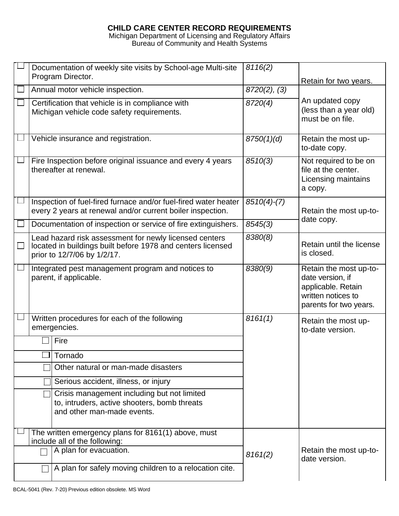Michigan Department of Licensing and Regulatory Affairs Bureau of Community and Health Systems

|        | Documentation of weekly site visits by School-age Multi-site<br>Program Director.                                                                    | 8116(2)       |                                                                                                                  |
|--------|------------------------------------------------------------------------------------------------------------------------------------------------------|---------------|------------------------------------------------------------------------------------------------------------------|
|        | Annual motor vehicle inspection.                                                                                                                     | 8720(2), (3)  | Retain for two years.                                                                                            |
|        | Certification that vehicle is in compliance with<br>Michigan vehicle code safety requirements.                                                       | 8720(4)       | An updated copy<br>(less than a year old)<br>must be on file.                                                    |
|        | Vehicle insurance and registration.                                                                                                                  | 8750(1)(d)    | Retain the most up-<br>to-date copy.                                                                             |
|        | Fire Inspection before original issuance and every 4 years<br>thereafter at renewal.                                                                 | 8510(3)       | Not required to be on<br>file at the center.<br>Licensing maintains<br>a copy.                                   |
|        | Inspection of fuel-fired furnace and/or fuel-fired water heater<br>every 2 years at renewal and/or current boiler inspection.                        | $8510(4)-(7)$ | Retain the most up-to-                                                                                           |
|        | Documentation of inspection or service of fire extinguishers.                                                                                        | 8545(3)       | date copy.                                                                                                       |
| $\Box$ | Lead hazard risk assessment for newly licensed centers<br>located in buildings built before 1978 and centers licensed<br>prior to 12/7/06 by 1/2/17. | 8380(8)       | Retain until the license<br>is closed.                                                                           |
|        | Integrated pest management program and notices to<br>parent, if applicable.                                                                          | 8380(9)       | Retain the most up-to-<br>date version, if<br>applicable. Retain<br>written notices to<br>parents for two years. |
|        | Written procedures for each of the following<br>emergencies.                                                                                         | 8161(1)       | Retain the most up-<br>to-date version.                                                                          |
|        | Fire                                                                                                                                                 |               |                                                                                                                  |
|        | <b>Tornado</b>                                                                                                                                       |               |                                                                                                                  |
|        | Other natural or man-made disasters                                                                                                                  |               |                                                                                                                  |
|        | Serious accident, illness, or injury                                                                                                                 |               |                                                                                                                  |
|        | Crisis management including but not limited<br>to, intruders, active shooters, bomb threats<br>and other man-made events.                            |               |                                                                                                                  |
|        | The written emergency plans for 8161(1) above, must                                                                                                  |               |                                                                                                                  |
|        | include all of the following:<br>A plan for evacuation.                                                                                              | 8161(2)       | Retain the most up-to-<br>date version.                                                                          |
|        | A plan for safely moving children to a relocation cite.                                                                                              |               |                                                                                                                  |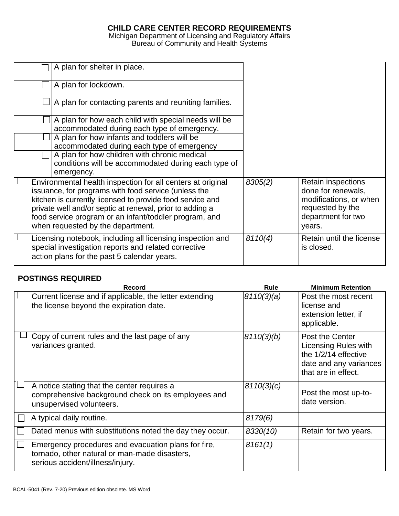Michigan Department of Licensing and Regulatory Affairs Bureau of Community and Health Systems

| A plan for shelter in place.                                                                                                                                                                                                                                                                                                                |         |                                                                                                                        |
|---------------------------------------------------------------------------------------------------------------------------------------------------------------------------------------------------------------------------------------------------------------------------------------------------------------------------------------------|---------|------------------------------------------------------------------------------------------------------------------------|
| A plan for lockdown.                                                                                                                                                                                                                                                                                                                        |         |                                                                                                                        |
| A plan for contacting parents and reuniting families.                                                                                                                                                                                                                                                                                       |         |                                                                                                                        |
| A plan for how each child with special needs will be<br>accommodated during each type of emergency.                                                                                                                                                                                                                                         |         |                                                                                                                        |
| A plan for how infants and toddlers will be<br>accommodated during each type of emergency                                                                                                                                                                                                                                                   |         |                                                                                                                        |
| A plan for how children with chronic medical                                                                                                                                                                                                                                                                                                |         |                                                                                                                        |
| conditions will be accommodated during each type of<br>emergency.                                                                                                                                                                                                                                                                           |         |                                                                                                                        |
| Environmental health inspection for all centers at original<br>issuance, for programs with food service (unless the<br>kitchen is currently licensed to provide food service and<br>private well and/or septic at renewal, prior to adding a<br>food service program or an infant/toddler program, and<br>when requested by the department. | 8305(2) | Retain inspections<br>done for renewals,<br>modifications, or when<br>requested by the<br>department for two<br>years. |
| Licensing notebook, including all licensing inspection and<br>special investigation reports and related corrective<br>action plans for the past 5 calendar years.                                                                                                                                                                           | 8110(4) | Retain until the license<br>is closed.                                                                                 |

## **POSTINGS REQUIRED**

| Record                                                                                                                                   | Rule       | <b>Minimum Retention</b>                                                                                                |
|------------------------------------------------------------------------------------------------------------------------------------------|------------|-------------------------------------------------------------------------------------------------------------------------|
| Current license and if applicable, the letter extending<br>the license beyond the expiration date.                                       | 8110(3)(a) | Post the most recent<br>license and<br>extension letter, if<br>applicable.                                              |
| Copy of current rules and the last page of any<br>variances granted.                                                                     | 8110(3)(b) | Post the Center<br><b>Licensing Rules with</b><br>the 1/2/14 effective<br>date and any variances<br>that are in effect. |
| A notice stating that the center requires a<br>comprehensive background check on its employees and<br>unsupervised volunteers.           | 8110(3)(c) | Post the most up-to-<br>date version.                                                                                   |
| A typical daily routine.                                                                                                                 | 8179(6)    |                                                                                                                         |
| Dated menus with substitutions noted the day they occur.                                                                                 | 8330(10)   | Retain for two years.                                                                                                   |
| Emergency procedures and evacuation plans for fire,<br>tornado, other natural or man-made disasters,<br>serious accident/illness/injury. | 8161(1)    |                                                                                                                         |